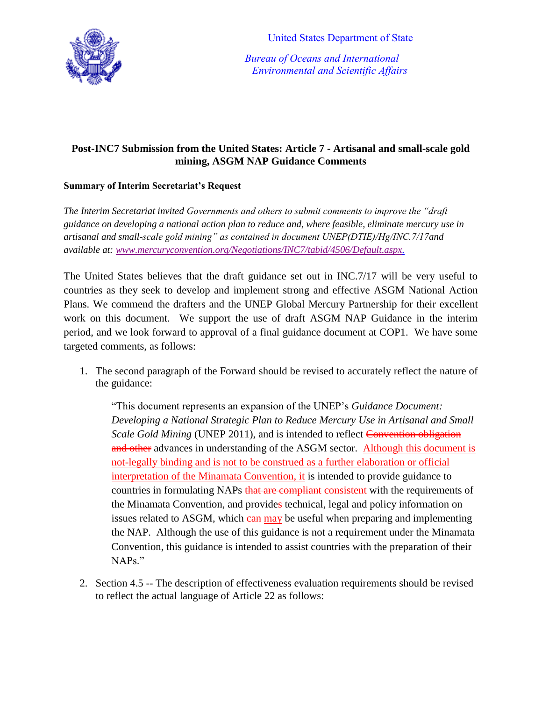**United States Department of State** 



 *Bureau of Oceans and International Environmental and Scientific Affairs*

## **Post-INC7 Submission from the United States: Article 7 - Artisanal and small-scale gold mining, ASGM NAP Guidance Comments**

## **Summary of Interim Secretariat's Request**

*The Interim Secretariat invited Governments and others to submit comments to improve the "draft guidance on developing a national action plan to reduce and, where feasible, eliminate mercury use in artisanal and small-scale gold mining" as contained in document UNEP(DTIE)/Hg/INC.7/17and available at: [www.mercuryconvention.org/Negotiations/INC7/tabid/4506/Default.aspx.](http://www.mercuryconvention.org/Negotiations/INC7/tabid/4506/Default.aspx)*

The United States believes that the draft guidance set out in INC.7/17 will be very useful to countries as they seek to develop and implement strong and effective ASGM National Action Plans. We commend the drafters and the UNEP Global Mercury Partnership for their excellent work on this document. We support the use of draft ASGM NAP Guidance in the interim period, and we look forward to approval of a final guidance document at COP1. We have some targeted comments, as follows:

1. The second paragraph of the Forward should be revised to accurately reflect the nature of the guidance:

"This document represents an expansion of the UNEP's *Guidance Document: Developing a National Strategic Plan to Reduce Mercury Use in Artisanal and Small Scale Gold Mining* (UNEP 2011), and is intended to reflect Convention obligation and other advances in understanding of the ASGM sector. Although this document is not-legally binding and is not to be construed as a further elaboration or official interpretation of the Minamata Convention, it is intended to provide guidance to countries in formulating NAPs that are compliant consistent with the requirements of the Minamata Convention, and provides technical, legal and policy information on issues related to ASGM, which earning be useful when preparing and implementing the NAP. Although the use of this guidance is not a requirement under the Minamata Convention, this guidance is intended to assist countries with the preparation of their NAPs."

2. Section 4.5 -- The description of effectiveness evaluation requirements should be revised to reflect the actual language of Article 22 as follows: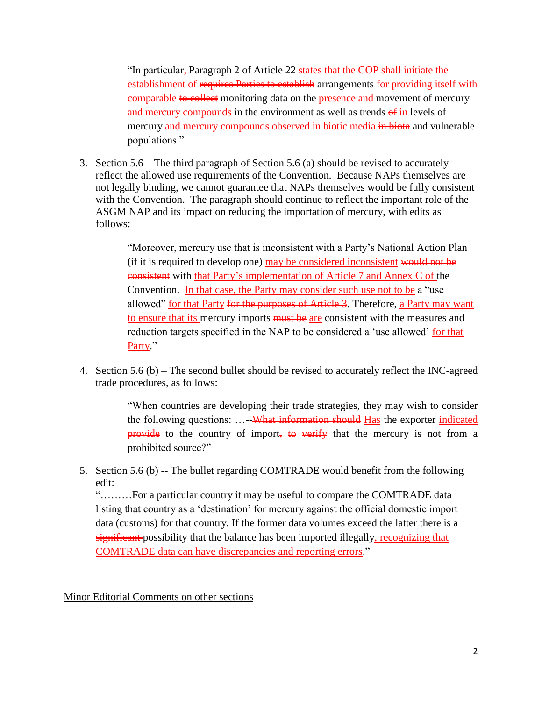"In particular, Paragraph 2 of Article 22 states that the COP shall initiate the establishment of requires Parties to establish arrangements for providing itself with comparable to collect monitoring data on the presence and movement of mercury and mercury compounds in the environment as well as trends  $\theta$  in levels of mercury and mercury compounds observed in biotic media in biotia and vulnerable populations."

3. Section 5.6 – The third paragraph of Section 5.6 (a) should be revised to accurately reflect the allowed use requirements of the Convention. Because NAPs themselves are not legally binding, we cannot guarantee that NAPs themselves would be fully consistent with the Convention. The paragraph should continue to reflect the important role of the ASGM NAP and its impact on reducing the importation of mercury, with edits as follows:

> "Moreover, mercury use that is inconsistent with a Party's National Action Plan (if it is required to develop one) may be considered inconsistent would not be consistent with that Party's implementation of Article 7 and Annex C of the Convention. In that case, the Party may consider such use not to be a "use" allowed" for that Party for the purposes of Article 3. Therefore, a Party may want to ensure that its mercury imports must be are consistent with the measures and reduction targets specified in the NAP to be considered a 'use allowed' for that Party."

4. Section 5.6 (b) – The second bullet should be revised to accurately reflect the INC-agreed trade procedures, as follows:

> "When countries are developing their trade strategies, they may wish to consider the following questions: ...--<del>What information should</del> Has the exporter indicated **provide** to the country of import, to verify that the mercury is not from a prohibited source?"

5. Section 5.6 (b) -- The bullet regarding COMTRADE would benefit from the following edit:

"………For a particular country it may be useful to compare the COMTRADE data listing that country as a 'destination' for mercury against the official domestic import data (customs) for that country. If the former data volumes exceed the latter there is a significant possibility that the balance has been imported illegally, recognizing that COMTRADE data can have discrepancies and reporting errors."

Minor Editorial Comments on other sections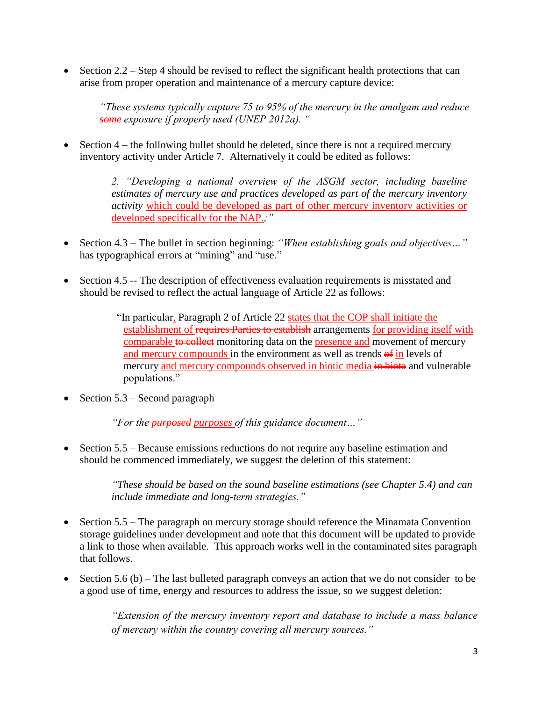$\bullet$  Section 2.2 – Step 4 should be revised to reflect the significant health protections that can arise from proper operation and maintenance of a mercury capture device:

*"These systems typically capture 75 to 95% of the mercury in the amalgam and reduce some exposure if properly used (UNEP 2012a). "*

 $\bullet$  Section 4 – the following bullet should be deleted, since there is not a required mercury inventory activity under Article 7. Alternatively it could be edited as follows:

> *2. "Developing a national overview of the ASGM sector, including baseline estimates of mercury use and practices developed as part of the mercury inventory activity* which could be developed as part of other mercury inventory activities or developed specifically for the NAP.*;"*

- Section 4.3 The bullet in section beginning: *"When establishing goals and objectives…"*  has typographical errors at "mining" and "use."
- Section 4.5 -- The description of effectiveness evaluation requirements is misstated and should be revised to reflect the actual language of Article 22 as follows:

"In particular, Paragraph 2 of Article 22 states that the COP shall initiate the establishment of requires Parties to establish arrangements for providing itself with comparable to collect monitoring data on the presence and movement of mercury and mercury compounds in the environment as well as trends  $\theta$  in levels of mercury and mercury compounds observed in biotic media in bioties and vulnerable populations."

• Section  $5.3$  – Second paragraph

*"For the purposed purposes of this guidance document…"*

• Section 5.5 – Because emissions reductions do not require any baseline estimation and should be commenced immediately, we suggest the deletion of this statement:

> *"These should be based on the sound baseline estimations (see Chapter 5.4) and can include immediate and long-term strategies."*

- Section 5.5 The paragraph on mercury storage should reference the Minamata Convention storage guidelines under development and note that this document will be updated to provide a link to those when available. This approach works well in the contaminated sites paragraph that follows.
- Section 5.6 (b) The last bulleted paragraph conveys an action that we do not consider to be a good use of time, energy and resources to address the issue, so we suggest deletion:

*"Extension of the mercury inventory report and database to include a mass balance of mercury within the country covering all mercury sources."*